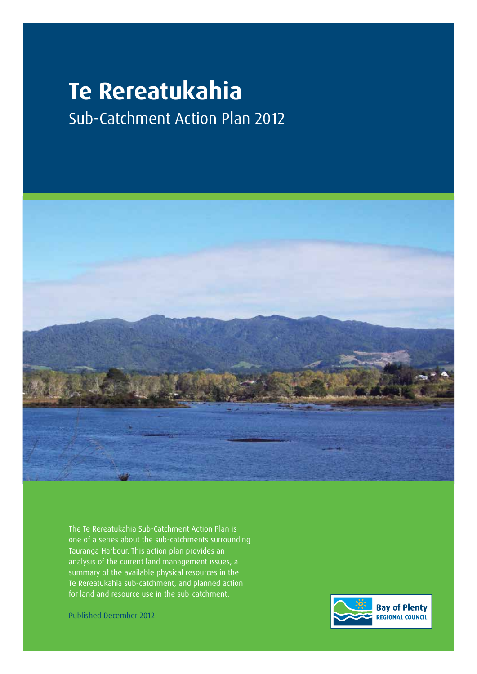# **Te Rereatukahia**

Sub-Catchment Action Plan 2012



The Te Rereatukahia Sub-Catchment Action Plan is one of a series about the sub-catchments surrounding Tauranga Harbour. This action plan provides an analysis of the current land management issues, a summary of the available physical resources in the Te Rereatukahia sub-catchment, and planned action for land and resource use in the sub-catchment.

Published December 2012

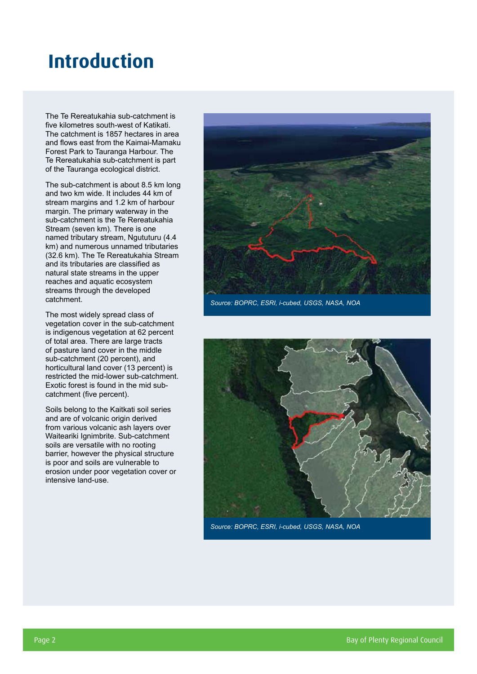### **Introduction**

The Te Rereatukahia sub-catchment is five kilometres south-west of Katikati. The catchment is 1857 hectares in area and flows east from the Kaimai-Mamaku Forest Park to Tauranga Harbour. The Te Rereatukahia sub-catchment is part of the Tauranga ecological district.

The sub-catchment is about 8.5 km long and two km wide. It includes 44 km of stream margins and 1.2 km of harbour margin. The primary waterway in the sub-catchment is the Te Rereatukahia Stream (seven km). There is one named tributary stream, Ngututuru (4.4 km) and numerous unnamed tributaries (32.6 km). The Te Rereatukahia Stream and its tributaries are classified as natural state streams in the upper reaches and aquatic ecosystem streams through the developed catchment.

The most widely spread class of vegetation cover in the sub-catchment is indigenous vegetation at 62 percent of total area. There are large tracts of pasture land cover in the middle sub-catchment (20 percent), and horticultural land cover (13 percent) is restricted the mid-lower sub-catchment. Exotic forest is found in the mid subcatchment (five percent).

Soils belong to the Kaitkati soil series and are of volcanic origin derived from various volcanic ash layers over Waiteariki Ignimbrite. Sub-catchment soils are versatile with no rooting barrier, however the physical structure is poor and soils are vulnerable to erosion under poor vegetation cover or intensive land-use.



*Source: BOPRC, ESRI, i-cubed, USGS, NASA, NOA*



*Source: BOPRC, ESRI, i-cubed, USGS, NASA, NOA*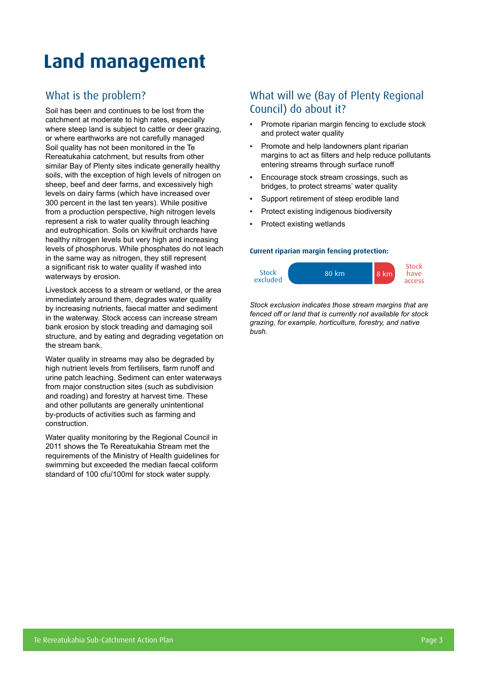# **Land management**

#### What is the problem?

Soil has been and continues to be lost from the catchment at moderate to high rates, especially where steep land is subject to cattle or deer grazing, or where earthworks are not carefully managed Soil quality has not been monitored in the Te Rereatukahia catchment, but results from other similar Bay of Plenty sites indicate generally healthy soils, with the exception of high levels of nitrogen on sheep, beef and deer farms, and excessively high levels on dairy farms (which have increased over 300 percent in the last ten years). While positive from a production perspective, high nitrogen levels represent a risk to water quality through leaching and eutrophication. Soils on kiwifruit orchards have healthy nitrogen levels but very high and increasing levels of phosphorus. While phosphates do not leach in the same way as nitrogen, they still represent a significant risk to water quality if washed into waterways by erosion.

Livestock access to a stream or wetland, or the area immediately around them, degrades water quality by increasing nutrients, faecal matter and sediment in the waterway. Stock access can increase stream bank erosion by stock treading and damaging soil structure, and by eating and degrading vegetation on the stream bank.

Water quality in streams may also be degraded by high nutrient levels from fertilisers, farm runoff and urine patch leaching. Sediment can enter waterways from major construction sites (such as subdivision and roading) and forestry at harvest time. These and other pollutants are generally unintentional by-products of activities such as farming and construction.

Water quality monitoring by the Regional Council in 2011 shows the Te Rereatukahia Stream met the requirements of the Ministry of Health guidelines for swimming but exceeded the median faecal coliform standard of 100 cfu/100ml for stock water supply.

#### What will we (Bay of Plenty Regional Council) do about it?

- Promote riparian margin fencing to exclude stock and protect water quality
- Promote and help landowners plant riparian margins to act as filters and help reduce pollutants entering streams through surface runoff
- Encourage stock stream crossings, such as bridges, to protect streams' water quality
- Support retirement of steep erodible land
- Protect existing indigenous biodiversity
- Protect existing wetlands

#### **Current riparian margin fencing protection:**



*Stock exclusion indicates those stream margins that are fenced off or land that is currently not available for stock grazing, for example, horticulture, forestry, and native bush.*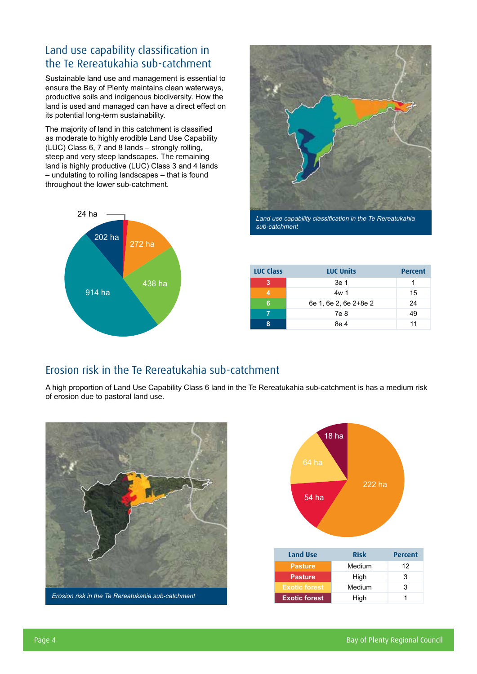### Land use capability classification in the Te Rereatukahia sub-catchment

Sustainable land use and management is essential to ensure the Bay of Plenty maintains clean waterways, productive soils and indigenous biodiversity. How the land is used and managed can have a direct effect on its potential long-term sustainability.

The majority of land in this catchment is classified as moderate to highly erodible Land Use Capability (LUC) Class 6, 7 and 8 lands – strongly rolling, steep and very steep landscapes. The remaining land is highly productive (LUC) Class 3 and 4 lands – undulating to rolling landscapes – that is found throughout the lower sub-catchment.





*Land use capability classification in the Te Rereatukahia sub-catchment*

| <b>LUC Class</b> | <b>LUC Units</b>      |    |
|------------------|-----------------------|----|
| з                | 3e 1                  |    |
|                  | 4w 1                  | 15 |
| 6                | 6e 1, 6e 2, 6e 2+8e 2 | 24 |
|                  | 7e 8                  | 49 |
| Ջ                | 8e 4                  | 11 |

#### Erosion risk in the Te Rereatukahia sub-catchment

A high proportion of Land Use Capability Class 6 land in the Te Rereatukahia sub-catchment is has a medium risk of erosion due to pastoral land use.



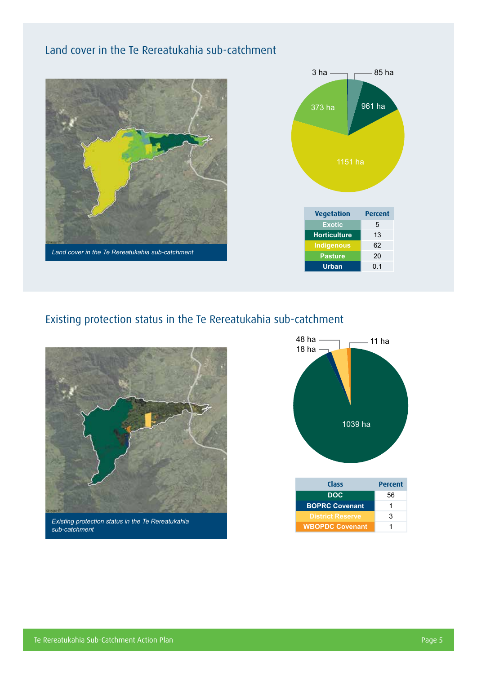### Land cover in the Te Rereatukahia sub-catchment





### Existing protection status in the Te Rereatukahia sub-catchment



*Existing protection status in the Te Rereatukahia sub-catchment*



| <b>Class</b>            | <b>Percent</b> |  |  |
|-------------------------|----------------|--|--|
| <b>DOC</b>              | 56             |  |  |
| <b>BOPRC Covenant</b>   | 1              |  |  |
| <b>District Reserve</b> | 3              |  |  |
| <b>WBOPDC Covenant</b>  | 1              |  |  |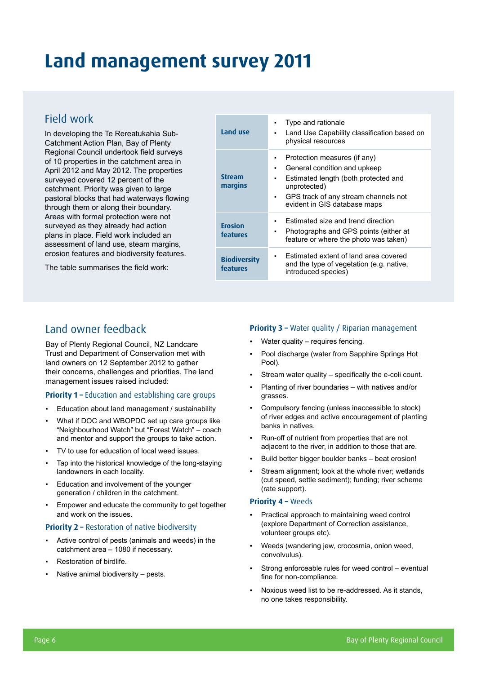# **Land management survey 2011**

#### Field work

In developing the Te Rereatukahia Sub-Catchment Action Plan, Bay of Plenty Regional Council undertook field surveys of 10 properties in the catchment area in April 2012 and May 2012. The properties surveyed covered 12 percent of the catchment. Priority was given to large pastoral blocks that had waterways flowing through them or along their boundary. Areas with formal protection were not surveyed as they already had action plans in place. Field work included an assessment of land use, steam margins, erosion features and biodiversity features.

The table summarises the field work:

| Land use                        | Type and rationale<br>٠<br>Land Use Capability classification based on<br>٠                                                                                                                                       |
|---------------------------------|-------------------------------------------------------------------------------------------------------------------------------------------------------------------------------------------------------------------|
|                                 | physical resources                                                                                                                                                                                                |
| <b>Stream</b><br>margins        | Protection measures (if any)<br>٠<br>General condition and upkeep<br>٠<br>Estimated length (both protected and<br>٠<br>unprotected)<br>GPS track of any stream channels not<br>۰.<br>evident in GIS database maps |
| <b>Erosion</b><br>features      | Estimated size and trend direction<br>٠<br>Photographs and GPS points (either at<br>$\blacksquare$<br>feature or where the photo was taken)                                                                       |
| <b>Biodiversity</b><br>features | Estimated extent of land area covered<br>and the type of vegetation (e.g. native,<br>introduced species)                                                                                                          |

#### Land owner feedback

Bay of Plenty Regional Council, NZ Landcare Trust and Department of Conservation met with land owners on 12 September 2012 to gather their concerns, challenges and priorities. The land management issues raised included:

#### **Priority 1 – Education and establishing care groups**

- Education about land management / sustainability
- What if DOC and WBOPDC set up care groups like "Neighbourhood Watch" but "Forest Watch" – coach and mentor and support the groups to take action.
- TV to use for education of local weed issues.
- Tap into the historical knowledge of the long-staying landowners in each locality.
- Education and involvement of the younger generation / children in the catchment.
- Empower and educate the community to get together and work on the issues.

#### **Priority 2 – Restoration of native biodiversity**

- Active control of pests (animals and weeds) in the catchment area – 1080 if necessary.
- Restoration of birdlife.
- Native animal biodiversity  $-$  pests.

#### **Priority 3 - Water quality / Riparian management**

- Water quality requires fencing.
- Pool discharge (water from Sapphire Springs Hot Pool).
- Stream water quality  $-$  specifically the e-coli count.
- Planting of river boundaries with natives and/or grasses.
- Compulsory fencing (unless inaccessible to stock) of river edges and active encouragement of planting banks in natives.
- Run-off of nutrient from properties that are not adjacent to the river, in addition to those that are.
- Build better bigger boulder banks beat erosion!
- Stream alignment; look at the whole river; wetlands (cut speed, settle sediment); funding; river scheme (rate support).

#### **Priority 4 –** Weeds

- Practical approach to maintaining weed control (explore Department of Correction assistance, volunteer groups etc).
- Weeds (wandering jew, crocosmia, onion weed, convolvulus).
- Strong enforceable rules for weed control eventual fine for non-compliance.
- Noxious weed list to be re-addressed. As it stands, no one takes responsibility.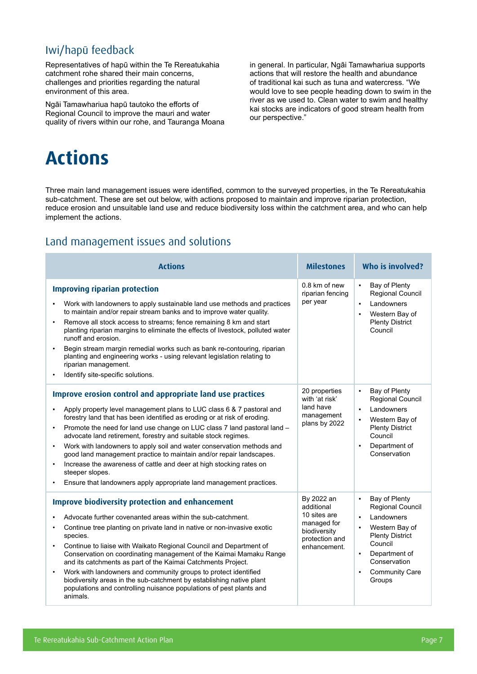### Iwi/hapū feedback

Representatives of hapū within the Te Rereatukahia catchment rohe shared their main concerns, challenges and priorities regarding the natural environment of this area.

Ngāi Tamawhariua hapū tautoko the efforts of Regional Council to improve the mauri and water quality of rivers within our rohe, and Tauranga Moana in general. In particular, Ngāi Tamawhariua supports actions that will restore the health and abundance of traditional kai such as tuna and watercress. "We would love to see people heading down to swim in the river as we used to. Clean water to swim and healthy kai stocks are indicators of good stream health from our perspective."

# **Actions**

Three main land management issues were identified, common to the surveyed properties, in the Te Rereatukahia sub-catchment. These are set out below, with actions proposed to maintain and improve riparian protection, reduce erosion and unsuitable land use and reduce biodiversity loss within the catchment area, and who can help implement the actions.

#### Land management issues and solutions

| <b>Actions</b>                                                                                                                                                                                                                                                                                                                                                                                                                                                                                                                                                                                                                                                                                          | <b>Milestones</b>                                                                                         | Who is involved?                                                                                                                                                                                                                                          |
|---------------------------------------------------------------------------------------------------------------------------------------------------------------------------------------------------------------------------------------------------------------------------------------------------------------------------------------------------------------------------------------------------------------------------------------------------------------------------------------------------------------------------------------------------------------------------------------------------------------------------------------------------------------------------------------------------------|-----------------------------------------------------------------------------------------------------------|-----------------------------------------------------------------------------------------------------------------------------------------------------------------------------------------------------------------------------------------------------------|
| <b>Improving riparian protection</b><br>Work with landowners to apply sustainable land use methods and practices<br>٠<br>to maintain and/or repair stream banks and to improve water quality.<br>Remove all stock access to streams; fence remaining 8 km and start<br>$\bullet$<br>planting riparian margins to eliminate the effects of livestock, polluted water<br>runoff and erosion.<br>Begin stream margin remedial works such as bank re-contouring, riparian<br>planting and engineering works - using relevant legislation relating to<br>riparian management.<br>Identify site-specific solutions.                                                                                           | 0.8 km of new<br>riparian fencing<br>per year                                                             | Bay of Plenty<br>$\blacksquare$<br>Regional Council<br>Landowners<br>$\blacksquare$<br>Western Bay of<br><b>Plenty District</b><br>Council                                                                                                                |
| <b>Improve erosion control and appropriate land use practices</b><br>Apply property level management plans to LUC class 6 & 7 pastoral and<br>forestry land that has been identified as eroding or at risk of eroding.<br>Promote the need for land use change on LUC class 7 land pastoral land -<br>٠<br>advocate land retirement, forestry and suitable stock regimes.<br>Work with landowners to apply soil and water conservation methods and<br>$\bullet$<br>good land management practice to maintain and/or repair landscapes.<br>Increase the awareness of cattle and deer at high stocking rates on<br>steeper slopes.<br>Ensure that landowners apply appropriate land management practices. | 20 properties<br>with 'at risk'<br>land have<br>management<br>plans by 2022                               | Bay of Plenty<br>$\blacksquare$<br>Regional Council<br>Landowners<br>$\blacksquare$<br>Western Bay of<br><b>Plenty District</b><br>Council<br>Department of<br>Conservation                                                                               |
| <b>Improve biodiversity protection and enhancement</b><br>Advocate further covenanted areas within the sub-catchment.<br>Continue tree planting on private land in native or non-invasive exotic<br>species.<br>Continue to liaise with Waikato Regional Council and Department of<br>Conservation on coordinating management of the Kaimai Mamaku Range<br>and its catchments as part of the Kaimai Catchments Project.<br>Work with landowners and community groups to protect identified<br>$\bullet$<br>biodiversity areas in the sub-catchment by establishing native plant<br>populations and controlling nuisance populations of pest plants and<br>animals.                                     | By 2022 an<br>additional<br>10 sites are<br>managed for<br>biodiversity<br>protection and<br>enhancement. | Bay of Plenty<br>$\blacksquare$<br><b>Regional Council</b><br>Landowners<br>$\blacksquare$<br>Western Bay of<br><b>Plenty District</b><br>Council<br>Department of<br>$\blacksquare$<br>Conservation<br><b>Community Care</b><br>$\blacksquare$<br>Groups |